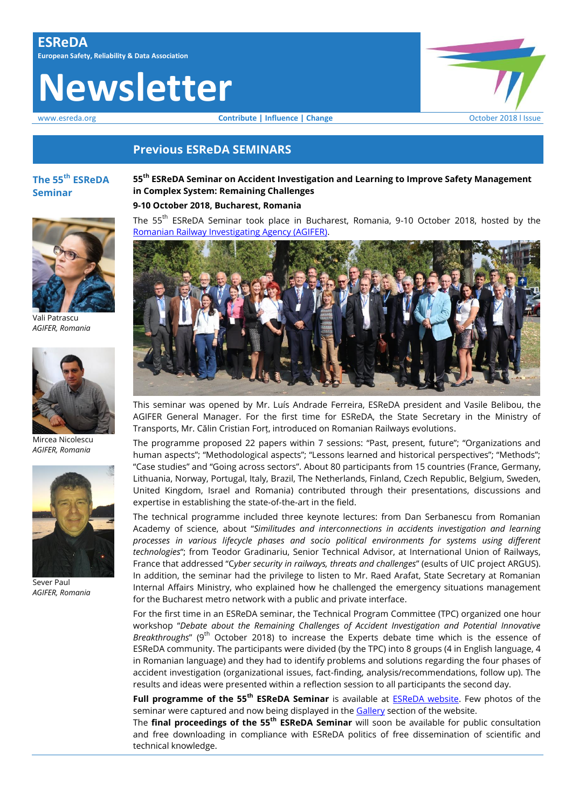# **Newsletter**

www.esreda.org **Contribute | Influence | Change Contribute | Influence | Change Change Contribute | Influence | Change Contribute | Influence | Change Contribute | Influence | Change Contribute | Influence | Ch** 

## **Previous ESReDA SEMINARS**

## **The 55th ESReDA Seminar**



Vali Patrascu *AGIFER, Romania*



Mircea Nicolescu *AGIFER, Romania*



Sever Paul *AGIFER, Romania*

**55th ESReDA Seminar on Accident Investigation and Learning to Improve Safety Management in Complex System: Remaining Challenges 9-10 October 2018, Bucharest, Romania**

The 55<sup>th</sup> ESReDA Seminar took place in Bucharest, Romania, 9-10 October 2018, hosted by the [Romanian Railway Investigating Agency \(AGIFER\).](http://www.agifer.ro/)



This seminar was opened by Mr. Luís Andrade Ferreira, ESReDA president and Vasile Belibou, the AGIFER General Manager. For the first time for ESReDA, the State Secretary in the Ministry of Transports, Mr. Călin Cristian Forț, introduced on Romanian Railways evolutions.

The programme proposed 22 papers within 7 sessions: "Past, present, future"; "Organizations and human aspects"; "Methodological aspects"; "Lessons learned and historical perspectives"; "Methods"; "Case studies" and "Going across sectors". About 80 participants from 15 countries (France, Germany, Lithuania, Norway, Portugal, Italy, Brazil, The Netherlands, Finland, Czech Republic, Belgium, Sweden, United Kingdom, Israel and Romania) contributed through their presentations, discussions and expertise in establishing the state-of-the-art in the field.

The technical programme included three keynote lectures: from Dan Serbanescu from Romanian Academy of science, about "*Similitudes and interconnections in accidents investigation and learning processes in various lifecycle phases and socio political environments for systems using different technologies*"; from Teodor Gradinariu, Senior Technical Advisor, at International Union of Railways, France that addressed "C*yber security in railways, threats and challenges*" (esults of UIC project ARGUS). In addition, the seminar had the privilege to listen to Mr. Raed Arafat, State Secretary at Romanian Internal Affairs Ministry, who explained how he challenged the emergency situations management for the Bucharest metro network with a public and private interface.

For the first time in an ESReDA seminar, the Technical Program Committee (TPC) organized one hour workshop "*Debate about the Remaining Challenges of Accident Investigation and Potential Innovative Breakthroughs*" (9<sup>th</sup> October 2018) to increase the Experts debate time which is the essence of ESReDA community. The participants were divided (by the TPC) into 8 groups (4 in English language, 4 in Romanian language) and they had to identify problems and solutions regarding the four phases of accident investigation (organizational issues, fact-finding, analysis/recommendations, follow up). The results and ideas were presented within a reflection session to all participants the second day.

**Full programme of the 55th ESReDA Seminar** is available at [ESReDA website.](https://www.esreda.org/event/55th-esreda-seminar/) Few photos of the seminar were captured and now being displayed in the [Gallery](https://www.esreda.org/gallery/) section of the website.

The **final proceedings of the 55th ESReDA Seminar** will soon be available for public consultation and free downloading in compliance with ESReDA politics of free dissemination of scientific and technical knowledge.

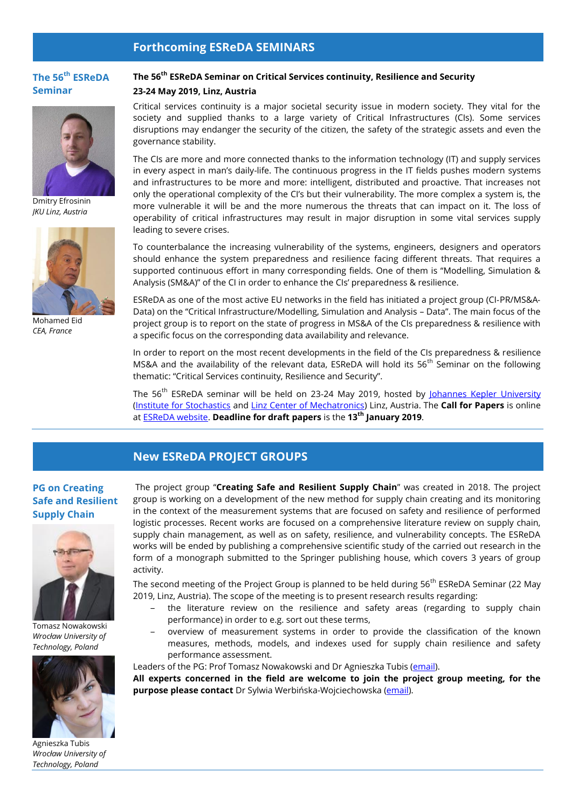## **Forthcoming ESReDA SEMINARS**

## **The 56 th ESReDA Seminar**



Dmitry Efrosinin *JKU Linz, Austria*



Mohamed Eid *CEA, France*

## **The 56th ESReDA Seminar on Critical Services continuity, Resilience and Security**

#### **23-24 May 2019, Linz, Austria**

Critical services continuity is a major societal security issue in modern society. They vital for the society and supplied thanks to a large variety of Critical Infrastructures (CIs). Some services disruptions may endanger the security of the citizen, the safety of the strategic assets and even the governance stability.

The CIs are more and more connected thanks to the information technology (IT) and supply services in every aspect in man's daily-life. The continuous progress in the IT fields pushes modern systems and infrastructures to be more and more: intelligent, distributed and proactive. That increases not only the operational complexity of the CI's but their vulnerability. The more complex a system is, the more vulnerable it will be and the more numerous the threats that can impact on it. The loss of operability of critical infrastructures may result in major disruption in some vital services supply leading to severe crises.

To counterbalance the increasing vulnerability of the systems, engineers, designers and operators should enhance the system preparedness and resilience facing different threats. That requires a supported continuous effort in many corresponding fields. One of them is "Modelling, Simulation & Analysis (SM&A)" of the CI in order to enhance the CIs' preparedness & resilience.

ESReDA as one of the most active EU networks in the field has initiated a project group (CI‐PR/MS&A‐ Data) on the "Critical Infrastructure/Modelling, Simulation and Analysis – Data". The main focus of the project group is to report on the state of progress in MS&A of the CIs preparedness & resilience with a specific focus on the corresponding data availability and relevance.

In order to report on the most recent developments in the field of the CIs preparedness & resilience MS&A and the availability of the relevant data, ESReDA will hold its 56<sup>th</sup> Seminar on the following thematic: "Critical Services continuity, Resilience and Security".

The 56<sup>th</sup> ESReDA seminar will be held on 23-24 May 2019, hosted by [Johannes Kepler University](http://www.jku.at/) [\(Institute for Stochastics](http://www.jku.at/stochastik) and [Linz Center of Mechatronics\)](http://www.lcm.at/) Linz, Austria. The **Call for Papers** is online at [ESReDA website.](https://www.esreda.org/event/56th-esreda-seminar/) **Deadline for draft papers** is the **13th January 2019**.

## **New ESReDA PROJECT GROUPS**

## **PG on Creating Safe and Resilient Supply Chain**



Tomasz Nowakowski *Wrocław University of Technology, Poland*



Agnieszka Tubis *Wrocław University of Technology, Poland*

The project group "**Creating Safe and Resilient Supply Chain**" was created in 2018. The project group is working on a development of the new method for supply chain creating and its monitoring in the context of the measurement systems that are focused on safety and resilience of performed logistic processes. Recent works are focused on a comprehensive literature review on supply chain, supply chain management, as well as on safety, resilience, and vulnerability concepts. The ESReDA works will be ended by publishing a comprehensive scientific study of the carried out research in the form of a monograph submitted to the Springer publishing house, which covers 3 years of group activity.

The second meeting of the Project Group is planned to be held during 56<sup>th</sup> ESReDA Seminar (22 Mav 2019, Linz, Austria). The scope of the meeting is to present research results regarding:

- ‒ the literature review on the resilience and safety areas (regarding to supply chain performance) in order to e.g. sort out these terms,
- ‒ overview of measurement systems in order to provide the classification of the known measures, methods, models, and indexes used for supply chain resilience and safety performance assessment.

Leaders of the PG: Prof Tomasz Nowakowski and Dr Agnieszka Tubis [\(email\)](mailto:agnieszka.tubis@pwr.edu.pl).

**All experts concerned in the field are welcome to join the project group meeting, for the purpose please contact** Dr Sylwia Werbińska-Wojciechowska [\(email\)](mailto:sylwia.werbinska@pwr.edu.pl).